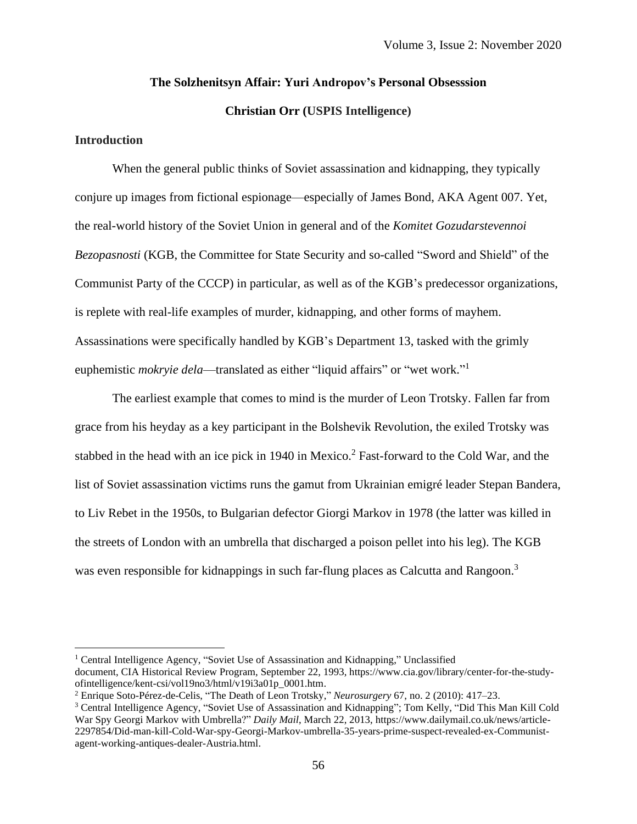### **The Solzhenitsyn Affair: Yuri Andropov's Personal Obsesssion**

**Christian Orr (USPIS Intelligence)**

### **Introduction**

When the general public thinks of Soviet assassination and kidnapping, they typically conjure up images from fictional espionage—especially of James Bond, AKA Agent 007. Yet, the real-world history of the Soviet Union in general and of the *Komitet Gozudarstevennoi Bezopasnosti* (KGB, the Committee for State Security and so-called "Sword and Shield" of the Communist Party of the CCCP) in particular, as well as of the KGB's predecessor organizations, is replete with real-life examples of murder, kidnapping, and other forms of mayhem. Assassinations were specifically handled by KGB's Department 13, tasked with the grimly euphemistic *mokryie dela*—translated as either "liquid affairs" or "wet work."<sup>1</sup>

The earliest example that comes to mind is the murder of Leon Trotsky. Fallen far from grace from his heyday as a key participant in the Bolshevik Revolution, the exiled Trotsky was stabbed in the head with an ice pick in 1940 in Mexico.<sup>2</sup> Fast-forward to the Cold War, and the list of Soviet assassination victims runs the gamut from Ukrainian emigré leader Stepan Bandera, to Liv Rebet in the 1950s, to Bulgarian defector Giorgi Markov in 1978 (the latter was killed in the streets of London with an umbrella that discharged a poison pellet into his leg). The KGB was even responsible for kidnappings in such far-flung places as Calcutta and Rangoon.<sup>3</sup>

<sup>&</sup>lt;sup>1</sup> Central Intelligence Agency, "Soviet Use of Assassination and Kidnapping," Unclassified document, CIA Historical Review Program, September 22, 1993, https://www.cia.gov/library/center-for-the-studyofintelligence/kent-csi/vol19no3/html/v19i3a01p\_0001.htm.

<sup>2</sup> Enrique Soto-Pérez-de-Celis, "The Death of Leon Trotsky," *Neurosurgery* 67, no. 2 (2010): 417–23.

<sup>3</sup> Central Intelligence Agency, "Soviet Use of Assassination and Kidnapping"; Tom Kelly, "Did This Man Kill Cold War Spy Georgi Markov with Umbrella?" *Daily Mail*, March 22, 2013, https://www.dailymail.co.uk/news/article-2297854/Did-man-kill-Cold-War-spy-Georgi-Markov-umbrella-35-years-prime-suspect-revealed-ex-Communistagent-working-antiques-dealer-Austria.html.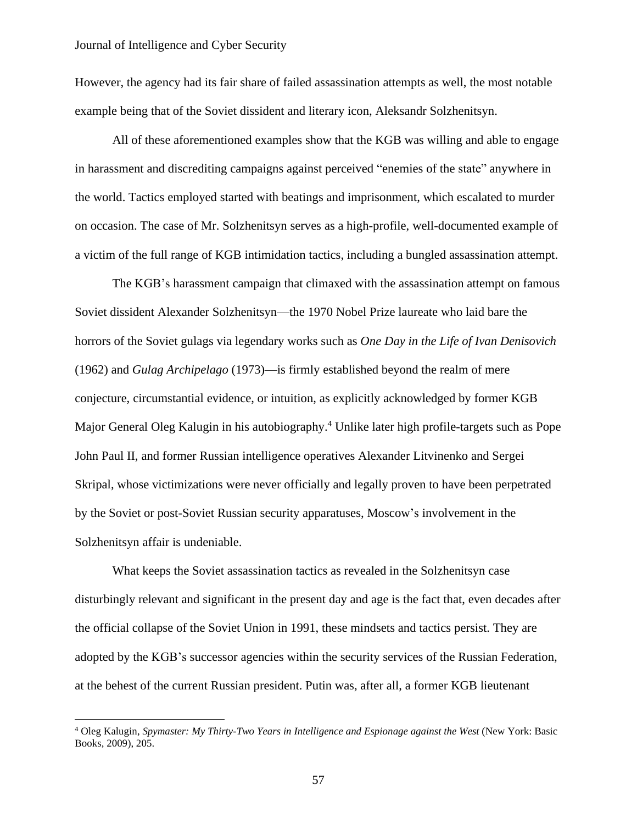However, the agency had its fair share of failed assassination attempts as well, the most notable example being that of the Soviet dissident and literary icon, Aleksandr Solzhenitsyn.

All of these aforementioned examples show that the KGB was willing and able to engage in harassment and discrediting campaigns against perceived "enemies of the state" anywhere in the world. Tactics employed started with beatings and imprisonment, which escalated to murder on occasion. The case of Mr. Solzhenitsyn serves as a high-profile, well-documented example of a victim of the full range of KGB intimidation tactics, including a bungled assassination attempt.

The KGB's harassment campaign that climaxed with the assassination attempt on famous Soviet dissident Alexander Solzhenitsyn—the 1970 Nobel Prize laureate who laid bare the horrors of the Soviet gulags via legendary works such as *One Day in the Life of Ivan Denisovich* (1962) and *Gulag Archipelago* (1973)—is firmly established beyond the realm of mere conjecture, circumstantial evidence, or intuition, as explicitly acknowledged by former KGB Major General Oleg Kalugin in his autobiography. <sup>4</sup> Unlike later high profile-targets such as Pope John Paul II, and former Russian intelligence operatives Alexander Litvinenko and Sergei Skripal, whose victimizations were never officially and legally proven to have been perpetrated by the Soviet or post-Soviet Russian security apparatuses, Moscow's involvement in the Solzhenitsyn affair is undeniable.

What keeps the Soviet assassination tactics as revealed in the Solzhenitsyn case disturbingly relevant and significant in the present day and age is the fact that, even decades after the official collapse of the Soviet Union in 1991, these mindsets and tactics persist. They are adopted by the KGB's successor agencies within the security services of the Russian Federation, at the behest of the current Russian president. Putin was, after all, a former KGB lieutenant

<sup>4</sup> Oleg Kalugin, *Spymaster: My Thirty-Two Years in Intelligence and Espionage against the West* (New York: Basic Books, 2009), 205.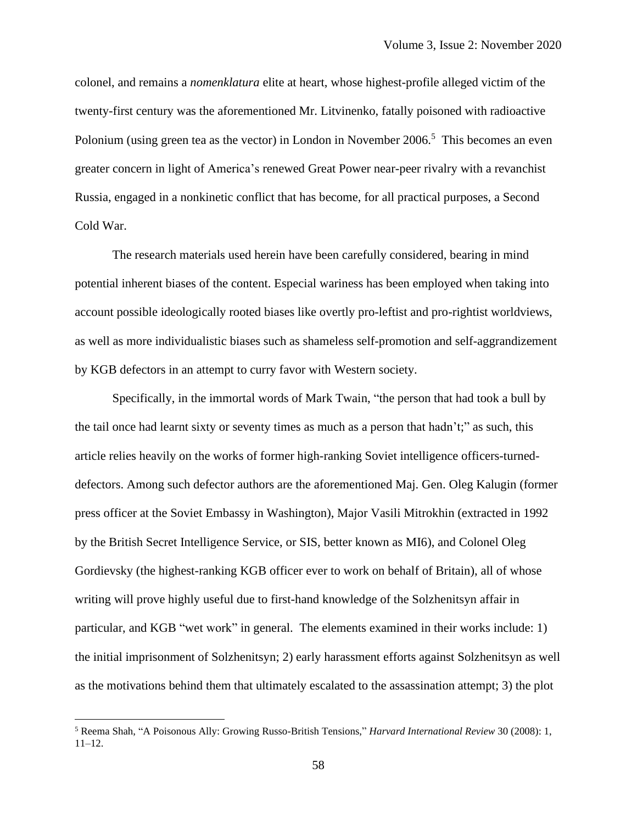colonel, and remains a *nomenklatura* elite at heart, whose highest-profile alleged victim of the twenty-first century was the aforementioned Mr. Litvinenko, fatally poisoned with radioactive Polonium (using green tea as the vector) in London in November 2006.<sup>5</sup> This becomes an even greater concern in light of America's renewed Great Power near-peer rivalry with a revanchist Russia, engaged in a nonkinetic conflict that has become, for all practical purposes, a Second Cold War.

The research materials used herein have been carefully considered, bearing in mind potential inherent biases of the content. Especial wariness has been employed when taking into account possible ideologically rooted biases like overtly pro-leftist and pro-rightist worldviews, as well as more individualistic biases such as shameless self-promotion and self-aggrandizement by KGB defectors in an attempt to curry favor with Western society.

Specifically, in the immortal words of Mark Twain, "the person that had took a bull by the tail once had learnt sixty or seventy times as much as a person that hadn't;" as such, this article relies heavily on the works of former high-ranking Soviet intelligence officers-turneddefectors. Among such defector authors are the aforementioned Maj. Gen. Oleg Kalugin (former press officer at the Soviet Embassy in Washington), Major Vasili Mitrokhin (extracted in 1992 by the British Secret Intelligence Service, or SIS, better known as MI6), and Colonel Oleg Gordievsky (the highest-ranking KGB officer ever to work on behalf of Britain), all of whose writing will prove highly useful due to first-hand knowledge of the Solzhenitsyn affair in particular, and KGB "wet work" in general. The elements examined in their works include: 1) the initial imprisonment of Solzhenitsyn; 2) early harassment efforts against Solzhenitsyn as well as the motivations behind them that ultimately escalated to the assassination attempt; 3) the plot

<sup>5</sup> Reema Shah, "A Poisonous Ally: Growing Russo-British Tensions," *Harvard International Review* 30 (2008): 1,  $11-12.$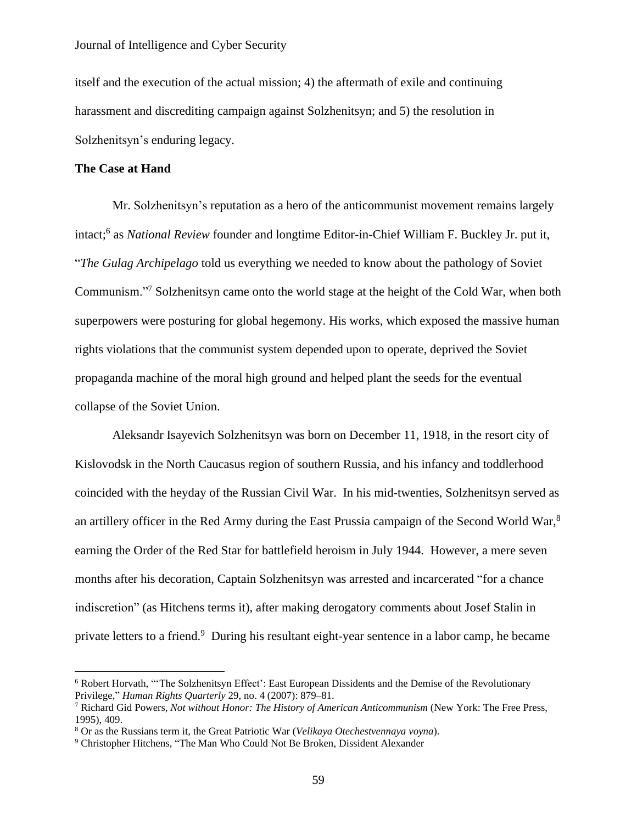itself and the execution of the actual mission; 4) the aftermath of exile and continuing harassment and discrediting campaign against Solzhenitsyn; and 5) the resolution in Solzhenitsyn's enduring legacy.

### **The Case at Hand**

Mr. Solzhenitsyn's reputation as a hero of the anticommunist movement remains largely intact; 6 as *National Review* founder and longtime Editor-in-Chief William F. Buckley Jr. put it, "*The Gulag Archipelago* told us everything we needed to know about the pathology of Soviet Communism."<sup>7</sup> Solzhenitsyn came onto the world stage at the height of the Cold War, when both superpowers were posturing for global hegemony. His works, which exposed the massive human rights violations that the communist system depended upon to operate, deprived the Soviet propaganda machine of the moral high ground and helped plant the seeds for the eventual collapse of the Soviet Union.

Aleksandr Isayevich Solzhenitsyn was born on December 11, 1918, in the resort city of Kislovodsk in the North Caucasus region of southern Russia, and his infancy and toddlerhood coincided with the heyday of the Russian Civil War. In his mid-twenties, Solzhenitsyn served as an artillery officer in the Red Army during the East Prussia campaign of the Second World War,<sup>8</sup> earning the Order of the Red Star for battlefield heroism in July 1944. However, a mere seven months after his decoration, Captain Solzhenitsyn was arrested and incarcerated "for a chance indiscretion" (as Hitchens terms it), after making derogatory comments about Josef Stalin in private letters to a friend.<sup>9</sup> During his resultant eight-year sentence in a labor camp, he became

<sup>6</sup> Robert Horvath, "'The Solzhenitsyn Effect': East European Dissidents and the Demise of the Revolutionary Privilege," *Human Rights Quarterly* 29, no. 4 (2007): 879–81.

<sup>7</sup> Richard Gid Powers, *Not without Honor: The History of American Anticommunism* (New York: The Free Press, 1995), 409.

<sup>8</sup> Or as the Russians term it, the Great Patriotic War (*Velikaya Otechestvennaya voyna*).

<sup>9</sup> Christopher Hitchens, "The Man Who Could Not Be Broken, Dissident Alexander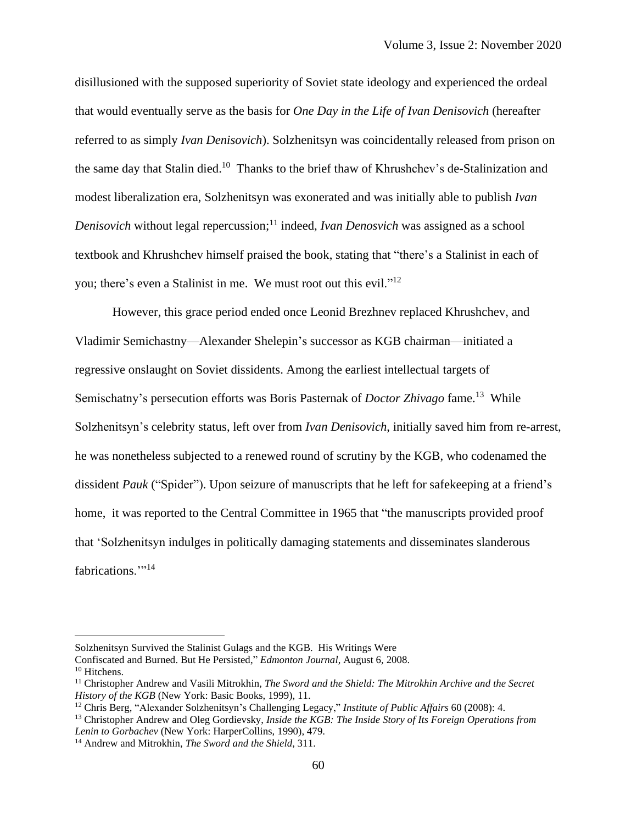disillusioned with the supposed superiority of Soviet state ideology and experienced the ordeal that would eventually serve as the basis for *One Day in the Life of Ivan Denisovich* (hereafter referred to as simply *Ivan Denisovich*). Solzhenitsyn was coincidentally released from prison on the same day that Stalin died.<sup>10</sup> Thanks to the brief thaw of Khrushchev's de-Stalinization and modest liberalization era, Solzhenitsyn was exonerated and was initially able to publish *Ivan Denisovich* without legal repercussion; <sup>11</sup> indeed, *Ivan Denosvich* was assigned as a school textbook and Khrushchev himself praised the book, stating that "there's a Stalinist in each of you; there's even a Stalinist in me. We must root out this evil."<sup>12</sup>

However, this grace period ended once Leonid Brezhnev replaced Khrushchev, and Vladimir Semichastny—Alexander Shelepin's successor as KGB chairman—initiated a regressive onslaught on Soviet dissidents. Among the earliest intellectual targets of Semischatny's persecution efforts was Boris Pasternak of *Doctor Zhivago* fame. 13 While Solzhenitsyn's celebrity status, left over from *Ivan Denisovich*, initially saved him from re-arrest, he was nonetheless subjected to a renewed round of scrutiny by the KGB, who codenamed the dissident *Pauk* ("Spider"). Upon seizure of manuscripts that he left for safekeeping at a friend's home, it was reported to the Central Committee in 1965 that "the manuscripts provided proof that 'Solzhenitsyn indulges in politically damaging statements and disseminates slanderous fabrications."<sup>14</sup>

Solzhenitsyn Survived the Stalinist Gulags and the KGB. His Writings Were Confiscated and Burned. But He Persisted," *Edmonton Journal*, August 6, 2008. <sup>10</sup> Hitchens.

<sup>11</sup> Christopher Andrew and Vasili Mitrokhin, *The Sword and the Shield: The Mitrokhin Archive and the Secret History of the KGB* (New York: Basic Books, 1999), 11.

<sup>12</sup> Chris Berg, "Alexander Solzhenitsyn's Challenging Legacy," *Institute of Public Affairs* 60 (2008): 4.

<sup>13</sup> Christopher Andrew and Oleg Gordievsky, *Inside the KGB: The Inside Story of Its Foreign Operations from Lenin to Gorbachev* (New York: HarperCollins, 1990), 479.

<sup>14</sup> Andrew and Mitrokhin, *The Sword and the Shield*, 311.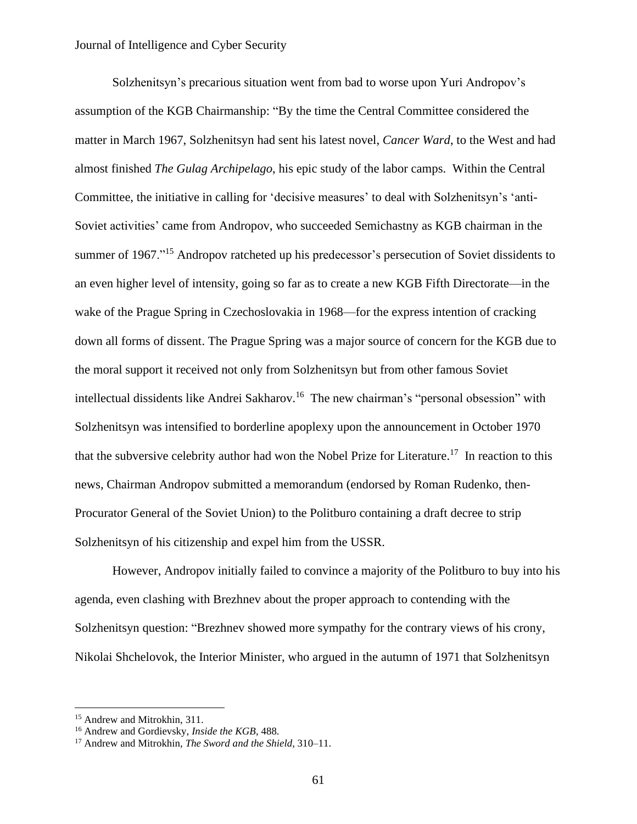Solzhenitsyn's precarious situation went from bad to worse upon Yuri Andropov's assumption of the KGB Chairmanship: "By the time the Central Committee considered the matter in March 1967, Solzhenitsyn had sent his latest novel, *Cancer Ward*, to the West and had almost finished *The Gulag Archipelago*, his epic study of the labor camps. Within the Central Committee, the initiative in calling for 'decisive measures' to deal with Solzhenitsyn's 'anti-Soviet activities' came from Andropov, who succeeded Semichastny as KGB chairman in the summer of 1967."<sup>15</sup> Andropov ratcheted up his predecessor's persecution of Soviet dissidents to an even higher level of intensity, going so far as to create a new KGB Fifth Directorate—in the wake of the Prague Spring in Czechoslovakia in 1968—for the express intention of cracking down all forms of dissent. The Prague Spring was a major source of concern for the KGB due to the moral support it received not only from Solzhenitsyn but from other famous Soviet intellectual dissidents like Andrei Sakharov. 16 The new chairman's "personal obsession" with Solzhenitsyn was intensified to borderline apoplexy upon the announcement in October 1970 that the subversive celebrity author had won the Nobel Prize for Literature. 17 In reaction to this news, Chairman Andropov submitted a memorandum (endorsed by Roman Rudenko, then-Procurator General of the Soviet Union) to the Politburo containing a draft decree to strip Solzhenitsyn of his citizenship and expel him from the USSR.

However, Andropov initially failed to convince a majority of the Politburo to buy into his agenda, even clashing with Brezhnev about the proper approach to contending with the Solzhenitsyn question: "Brezhnev showed more sympathy for the contrary views of his crony, Nikolai Shchelovok, the Interior Minister, who argued in the autumn of 1971 that Solzhenitsyn

<sup>15</sup> Andrew and Mitrokhin, 311.

<sup>16</sup> Andrew and Gordievsky, *Inside the KGB*, 488.

<sup>17</sup> Andrew and Mitrokhin, *The Sword and the Shield*, 310–11.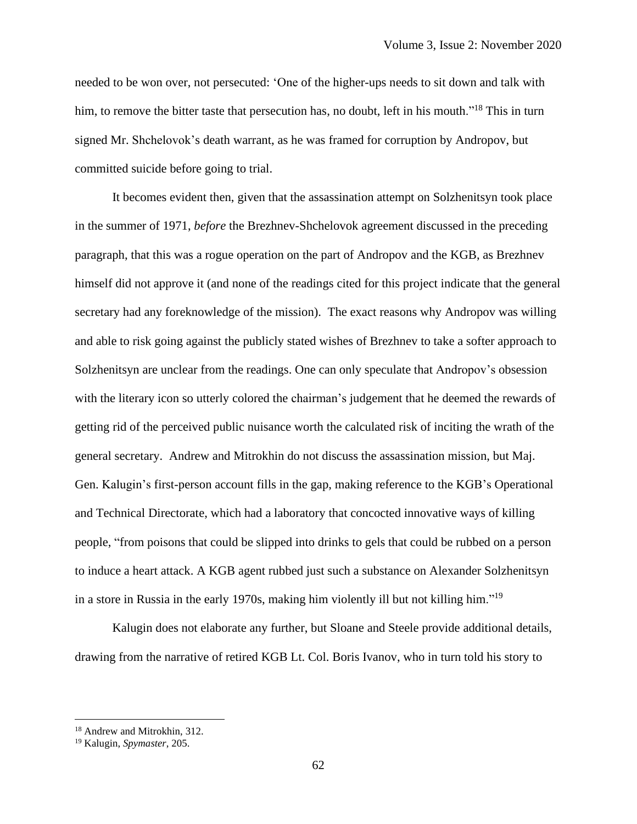needed to be won over, not persecuted: 'One of the higher-ups needs to sit down and talk with him, to remove the bitter taste that persecution has, no doubt, left in his mouth."<sup>18</sup> This in turn signed Mr. Shchelovok's death warrant, as he was framed for corruption by Andropov, but committed suicide before going to trial.

It becomes evident then, given that the assassination attempt on Solzhenitsyn took place in the summer of 1971, *before* the Brezhnev-Shchelovok agreement discussed in the preceding paragraph, that this was a rogue operation on the part of Andropov and the KGB, as Brezhnev himself did not approve it (and none of the readings cited for this project indicate that the general secretary had any foreknowledge of the mission). The exact reasons why Andropov was willing and able to risk going against the publicly stated wishes of Brezhnev to take a softer approach to Solzhenitsyn are unclear from the readings. One can only speculate that Andropov's obsession with the literary icon so utterly colored the chairman's judgement that he deemed the rewards of getting rid of the perceived public nuisance worth the calculated risk of inciting the wrath of the general secretary. Andrew and Mitrokhin do not discuss the assassination mission, but Maj. Gen. Kalugin's first-person account fills in the gap, making reference to the KGB's Operational and Technical Directorate, which had a laboratory that concocted innovative ways of killing people, "from poisons that could be slipped into drinks to gels that could be rubbed on a person to induce a heart attack. A KGB agent rubbed just such a substance on Alexander Solzhenitsyn in a store in Russia in the early 1970s, making him violently ill but not killing him."<sup>19</sup>

Kalugin does not elaborate any further, but Sloane and Steele provide additional details, drawing from the narrative of retired KGB Lt. Col. Boris Ivanov, who in turn told his story to

<sup>18</sup> Andrew and Mitrokhin, 312.

<sup>19</sup> Kalugin, *Spymaster*, 205.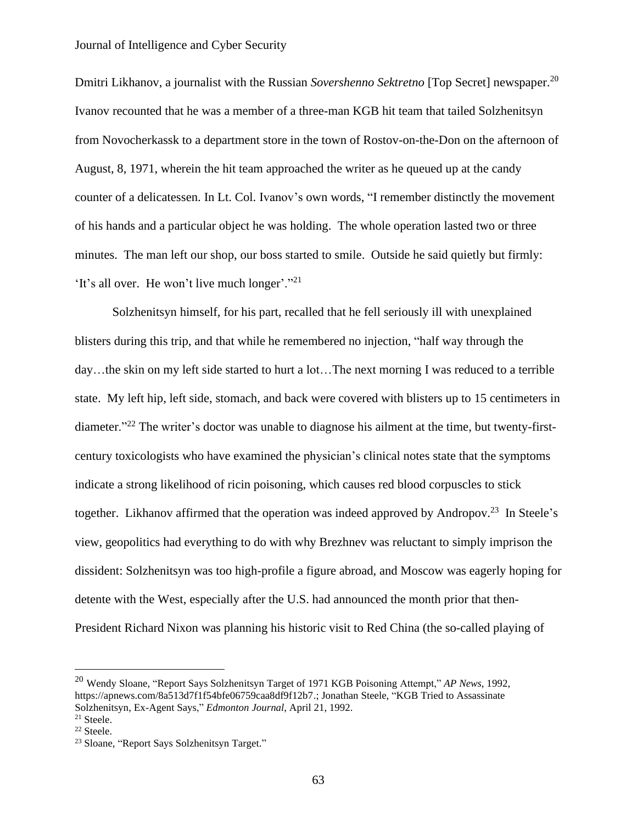Dmitri Likhanov, a journalist with the Russian *Sovershenno Sektretno* [Top Secret] newspaper. 20 Ivanov recounted that he was a member of a three-man KGB hit team that tailed Solzhenitsyn from Novocherkassk to a department store in the town of Rostov-on-the-Don on the afternoon of August, 8, 1971, wherein the hit team approached the writer as he queued up at the candy counter of a delicatessen. In Lt. Col. Ivanov's own words, "I remember distinctly the movement of his hands and a particular object he was holding. The whole operation lasted two or three minutes. The man left our shop, our boss started to smile. Outside he said quietly but firmly: 'It's all over. He won't live much longer'."<sup>21</sup>

Solzhenitsyn himself, for his part, recalled that he fell seriously ill with unexplained blisters during this trip, and that while he remembered no injection, "half way through the day…the skin on my left side started to hurt a lot…The next morning I was reduced to a terrible state. My left hip, left side, stomach, and back were covered with blisters up to 15 centimeters in diameter."<sup>22</sup> The writer's doctor was unable to diagnose his ailment at the time, but twenty-firstcentury toxicologists who have examined the physician's clinical notes state that the symptoms indicate a strong likelihood of ricin poisoning, which causes red blood corpuscles to stick together. Likhanov affirmed that the operation was indeed approved by Andropov.<sup>23</sup> In Steele's view, geopolitics had everything to do with why Brezhnev was reluctant to simply imprison the dissident: Solzhenitsyn was too high-profile a figure abroad, and Moscow was eagerly hoping for detente with the West, especially after the U.S. had announced the month prior that then-President Richard Nixon was planning his historic visit to Red China (the so-called playing of

<sup>20</sup> Wendy Sloane, "Report Says Solzhenitsyn Target of 1971 KGB Poisoning Attempt," *AP News*, 1992, https://apnews.com/8a513d7f1f54bfe06759caa8df9f12b7.; Jonathan Steele, "KGB Tried to Assassinate Solzhenitsyn, Ex-Agent Says," *Edmonton Journal*, April 21, 1992.

<sup>21</sup> Steele.

<sup>22</sup> Steele.

<sup>23</sup> Sloane, "Report Says Solzhenitsyn Target."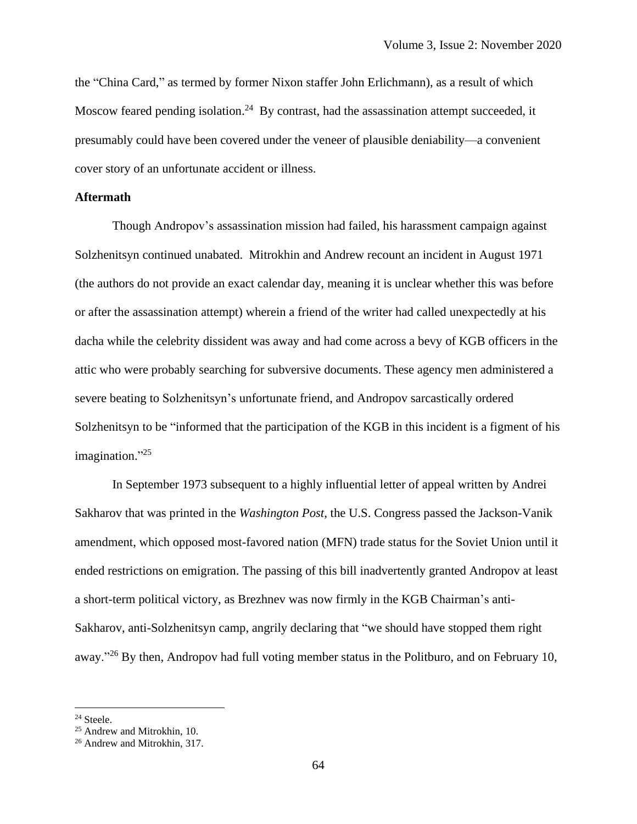the "China Card," as termed by former Nixon staffer John Erlichmann), as a result of which Moscow feared pending isolation.<sup>24</sup> By contrast, had the assassination attempt succeeded, it presumably could have been covered under the veneer of plausible deniability—a convenient cover story of an unfortunate accident or illness.

## **Aftermath**

Though Andropov's assassination mission had failed, his harassment campaign against Solzhenitsyn continued unabated. Mitrokhin and Andrew recount an incident in August 1971 (the authors do not provide an exact calendar day, meaning it is unclear whether this was before or after the assassination attempt) wherein a friend of the writer had called unexpectedly at his dacha while the celebrity dissident was away and had come across a bevy of KGB officers in the attic who were probably searching for subversive documents. These agency men administered a severe beating to Solzhenitsyn's unfortunate friend, and Andropov sarcastically ordered Solzhenitsyn to be "informed that the participation of the KGB in this incident is a figment of his imagination."<sup>25</sup>

In September 1973 subsequent to a highly influential letter of appeal written by Andrei Sakharov that was printed in the *Washington Post*, the U.S. Congress passed the Jackson-Vanik amendment, which opposed most-favored nation (MFN) trade status for the Soviet Union until it ended restrictions on emigration. The passing of this bill inadvertently granted Andropov at least a short-term political victory, as Brezhnev was now firmly in the KGB Chairman's anti-Sakharov, anti-Solzhenitsyn camp, angrily declaring that "we should have stopped them right away."<sup>26</sup> By then, Andropov had full voting member status in the Politburo, and on February 10,

<sup>24</sup> Steele.

<sup>25</sup> Andrew and Mitrokhin, 10.

<sup>26</sup> Andrew and Mitrokhin, 317.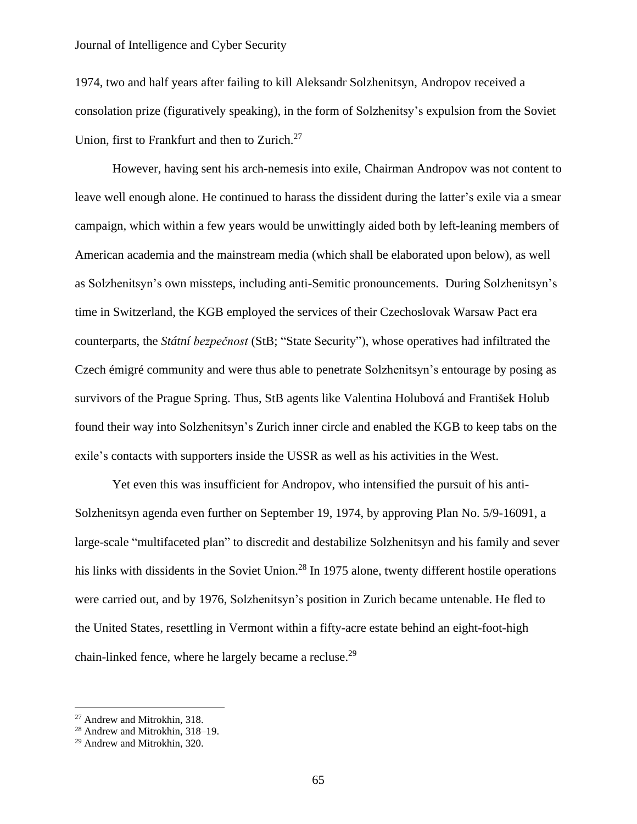1974, two and half years after failing to kill Aleksandr Solzhenitsyn, Andropov received a consolation prize (figuratively speaking), in the form of Solzhenitsy's expulsion from the Soviet Union, first to Frankfurt and then to Zurich.<sup>27</sup>

However, having sent his arch-nemesis into exile, Chairman Andropov was not content to leave well enough alone. He continued to harass the dissident during the latter's exile via a smear campaign, which within a few years would be unwittingly aided both by left-leaning members of American academia and the mainstream media (which shall be elaborated upon below), as well as Solzhenitsyn's own missteps, including anti-Semitic pronouncements. During Solzhenitsyn's time in Switzerland, the KGB employed the services of their Czechoslovak Warsaw Pact era counterparts, the *Státní bezpečnost* (StB; "State Security"), whose operatives had infiltrated the Czech émigré community and were thus able to penetrate Solzhenitsyn's entourage by posing as survivors of the Prague Spring. Thus, StB agents like Valentina Holubová and František Holub found their way into Solzhenitsyn's Zurich inner circle and enabled the KGB to keep tabs on the exile's contacts with supporters inside the USSR as well as his activities in the West.

Yet even this was insufficient for Andropov, who intensified the pursuit of his anti-Solzhenitsyn agenda even further on September 19, 1974, by approving Plan No. 5/9-16091, a large-scale "multifaceted plan" to discredit and destabilize Solzhenitsyn and his family and sever his links with dissidents in the Soviet Union.<sup>28</sup> In 1975 alone, twenty different hostile operations were carried out, and by 1976, Solzhenitsyn's position in Zurich became untenable. He fled to the United States, resettling in Vermont within a fifty-acre estate behind an eight-foot-high chain-linked fence, where he largely became a recluse.<sup>29</sup>

<sup>27</sup> Andrew and Mitrokhin, 318.

<sup>28</sup> Andrew and Mitrokhin, 318–19.

<sup>29</sup> Andrew and Mitrokhin, 320.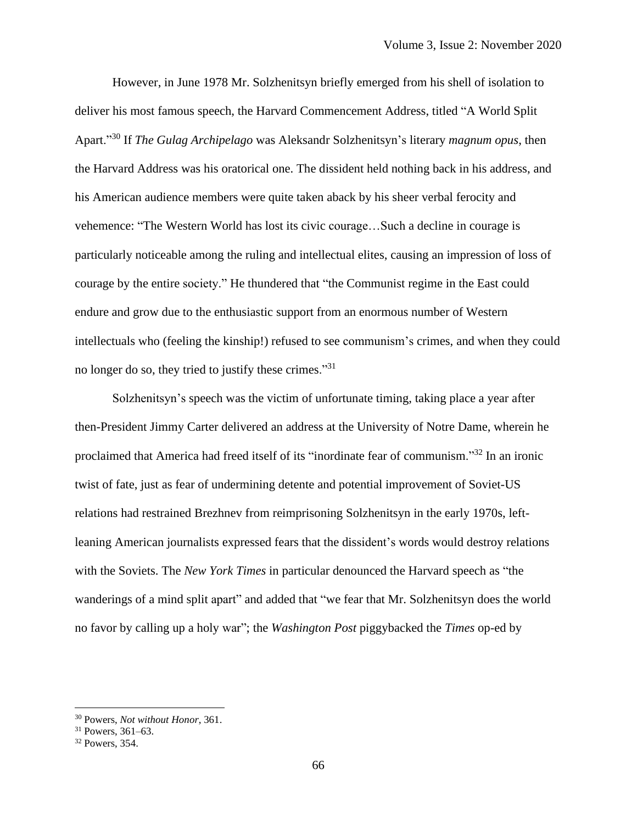However, in June 1978 Mr. Solzhenitsyn briefly emerged from his shell of isolation to deliver his most famous speech, the Harvard Commencement Address, titled "A World Split Apart."<sup>30</sup> If *The Gulag Archipelago* was Aleksandr Solzhenitsyn's literary *magnum opus*, then the Harvard Address was his oratorical one. The dissident held nothing back in his address, and his American audience members were quite taken aback by his sheer verbal ferocity and vehemence: "The Western World has lost its civic courage…Such a decline in courage is particularly noticeable among the ruling and intellectual elites, causing an impression of loss of courage by the entire society." He thundered that "the Communist regime in the East could endure and grow due to the enthusiastic support from an enormous number of Western intellectuals who (feeling the kinship!) refused to see communism's crimes, and when they could no longer do so, they tried to justify these crimes."<sup>31</sup>

Solzhenitsyn's speech was the victim of unfortunate timing, taking place a year after then-President Jimmy Carter delivered an address at the University of Notre Dame, wherein he proclaimed that America had freed itself of its "inordinate fear of communism."<sup>32</sup> In an ironic twist of fate, just as fear of undermining detente and potential improvement of Soviet-US relations had restrained Brezhnev from reimprisoning Solzhenitsyn in the early 1970s, leftleaning American journalists expressed fears that the dissident's words would destroy relations with the Soviets. The *New York Times* in particular denounced the Harvard speech as "the wanderings of a mind split apart" and added that "we fear that Mr. Solzhenitsyn does the world no favor by calling up a holy war"; the *Washington Post* piggybacked the *Times* op-ed by

<sup>30</sup> Powers, *Not without Honor*, 361.

<sup>31</sup> Powers, 361–63.

<sup>32</sup> Powers, 354.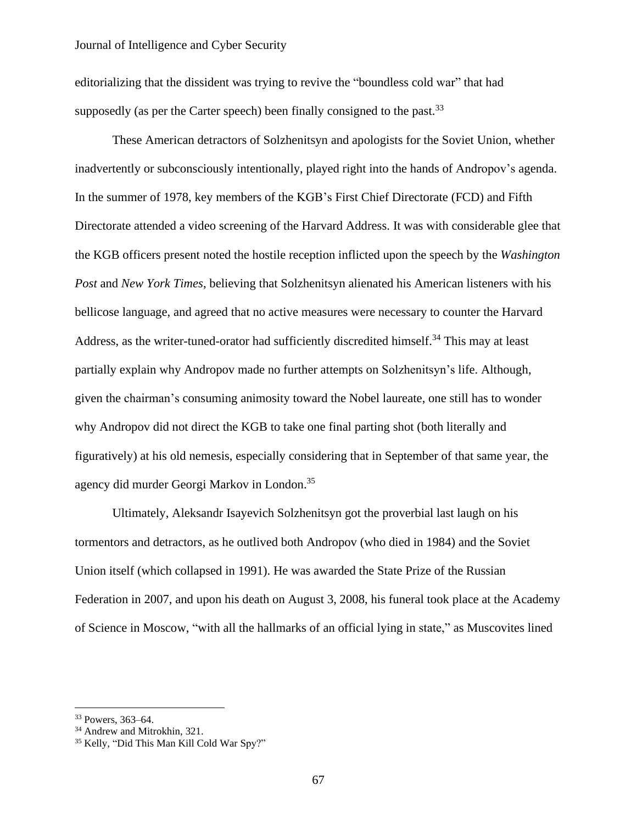editorializing that the dissident was trying to revive the "boundless cold war" that had supposedly (as per the Carter speech) been finally consigned to the past.<sup>33</sup>

These American detractors of Solzhenitsyn and apologists for the Soviet Union, whether inadvertently or subconsciously intentionally, played right into the hands of Andropov's agenda. In the summer of 1978, key members of the KGB's First Chief Directorate (FCD) and Fifth Directorate attended a video screening of the Harvard Address. It was with considerable glee that the KGB officers present noted the hostile reception inflicted upon the speech by the *Washington Post* and *New York Times*, believing that Solzhenitsyn alienated his American listeners with his bellicose language, and agreed that no active measures were necessary to counter the Harvard Address, as the writer-tuned-orator had sufficiently discredited himself.<sup>34</sup> This may at least partially explain why Andropov made no further attempts on Solzhenitsyn's life. Although, given the chairman's consuming animosity toward the Nobel laureate, one still has to wonder why Andropov did not direct the KGB to take one final parting shot (both literally and figuratively) at his old nemesis, especially considering that in September of that same year, the agency did murder Georgi Markov in London. 35

Ultimately, Aleksandr Isayevich Solzhenitsyn got the proverbial last laugh on his tormentors and detractors, as he outlived both Andropov (who died in 1984) and the Soviet Union itself (which collapsed in 1991). He was awarded the State Prize of the Russian Federation in 2007, and upon his death on August 3, 2008, his funeral took place at the Academy of Science in Moscow, "with all the hallmarks of an official lying in state," as Muscovites lined

<sup>33</sup> Powers, 363–64.

<sup>34</sup> Andrew and Mitrokhin, 321.

<sup>35</sup> Kelly, "Did This Man Kill Cold War Spy?"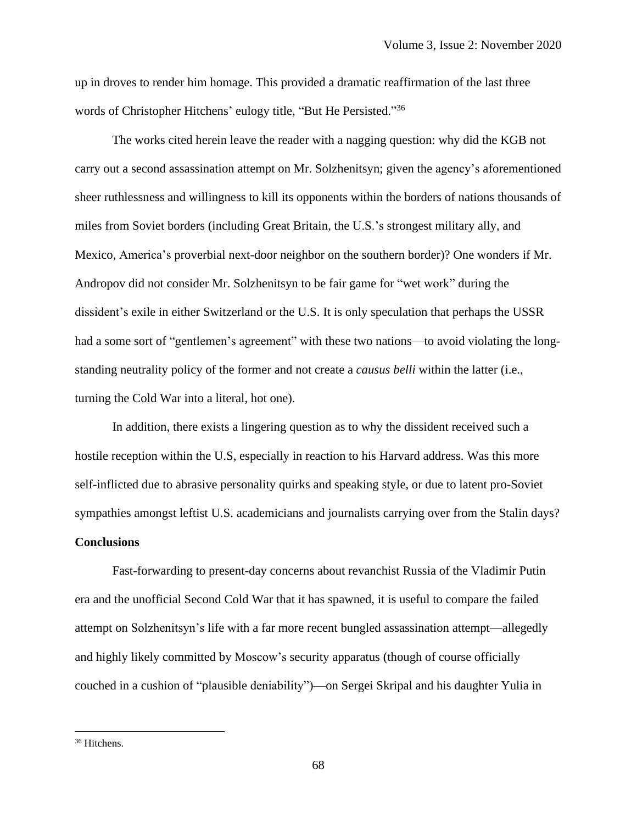up in droves to render him homage. This provided a dramatic reaffirmation of the last three words of Christopher Hitchens' eulogy title, "But He Persisted."<sup>36</sup>

The works cited herein leave the reader with a nagging question: why did the KGB not carry out a second assassination attempt on Mr. Solzhenitsyn; given the agency's aforementioned sheer ruthlessness and willingness to kill its opponents within the borders of nations thousands of miles from Soviet borders (including Great Britain, the U.S.'s strongest military ally, and Mexico, America's proverbial next-door neighbor on the southern border)? One wonders if Mr. Andropov did not consider Mr. Solzhenitsyn to be fair game for "wet work" during the dissident's exile in either Switzerland or the U.S. It is only speculation that perhaps the USSR had a some sort of "gentlemen's agreement" with these two nations—to avoid violating the longstanding neutrality policy of the former and not create a *causus belli* within the latter (i.e., turning the Cold War into a literal, hot one).

In addition, there exists a lingering question as to why the dissident received such a hostile reception within the U.S, especially in reaction to his Harvard address. Was this more self-inflicted due to abrasive personality quirks and speaking style, or due to latent pro-Soviet sympathies amongst leftist U.S. academicians and journalists carrying over from the Stalin days? **Conclusions**

Fast-forwarding to present-day concerns about revanchist Russia of the Vladimir Putin era and the unofficial Second Cold War that it has spawned, it is useful to compare the failed attempt on Solzhenitsyn's life with a far more recent bungled assassination attempt—allegedly and highly likely committed by Moscow's security apparatus (though of course officially couched in a cushion of "plausible deniability")—on Sergei Skripal and his daughter Yulia in

<sup>&</sup>lt;sup>36</sup> Hitchens.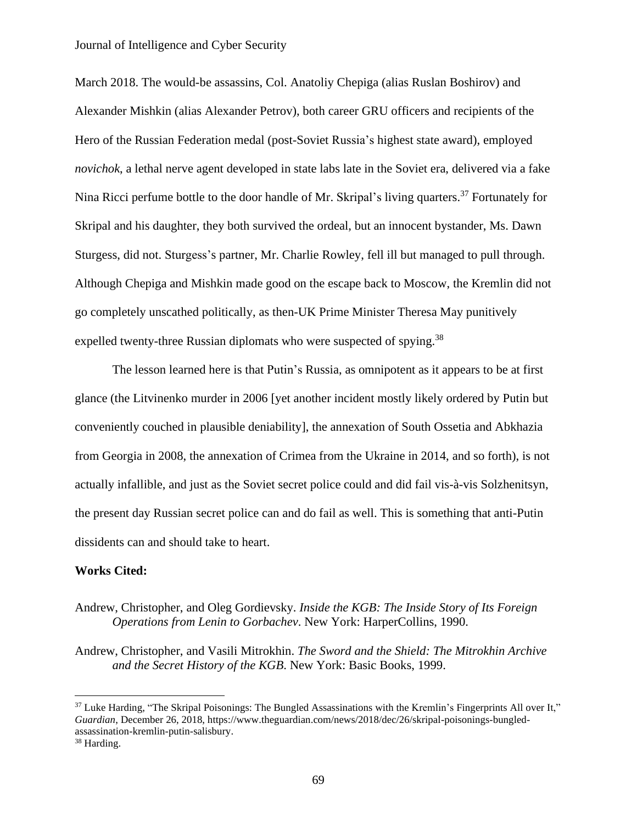March 2018. The would-be assassins, Col. Anatoliy Chepiga (alias Ruslan Boshirov) and Alexander Mishkin (alias Alexander Petrov), both career GRU officers and recipients of the Hero of the Russian Federation medal (post-Soviet Russia's highest state award), employed *novichok*, a lethal nerve agent developed in state labs late in the Soviet era, delivered via a fake Nina Ricci perfume bottle to the door handle of Mr. Skripal's living quarters.<sup>37</sup> Fortunately for Skripal and his daughter, they both survived the ordeal, but an innocent bystander, Ms. Dawn Sturgess, did not. Sturgess's partner, Mr. Charlie Rowley, fell ill but managed to pull through. Although Chepiga and Mishkin made good on the escape back to Moscow, the Kremlin did not go completely unscathed politically, as then-UK Prime Minister Theresa May punitively expelled twenty-three Russian diplomats who were suspected of spying.<sup>38</sup>

The lesson learned here is that Putin's Russia, as omnipotent as it appears to be at first glance (the Litvinenko murder in 2006 [yet another incident mostly likely ordered by Putin but conveniently couched in plausible deniability], the annexation of South Ossetia and Abkhazia from Georgia in 2008, the annexation of Crimea from the Ukraine in 2014, and so forth), is not actually infallible, and just as the Soviet secret police could and did fail vis-à-vis Solzhenitsyn, the present day Russian secret police can and do fail as well. This is something that anti-Putin dissidents can and should take to heart.

#### **Works Cited:**

# Andrew, Christopher, and Oleg Gordievsky. *Inside the KGB: The Inside Story of Its Foreign Operations from Lenin to Gorbachev*. New York: HarperCollins, 1990.

Andrew, Christopher, and Vasili Mitrokhin. *The Sword and the Shield: The Mitrokhin Archive and the Secret History of the KGB*. New York: Basic Books, 1999.

 $37$  Luke Harding, "The Skripal Poisonings: The Bungled Assassinations with the Kremlin's Fingerprints All over It," *Guardian*, December 26, 2018, https://www.theguardian.com/news/2018/dec/26/skripal-poisonings-bungledassassination-kremlin-putin-salisbury.

<sup>38</sup> Harding.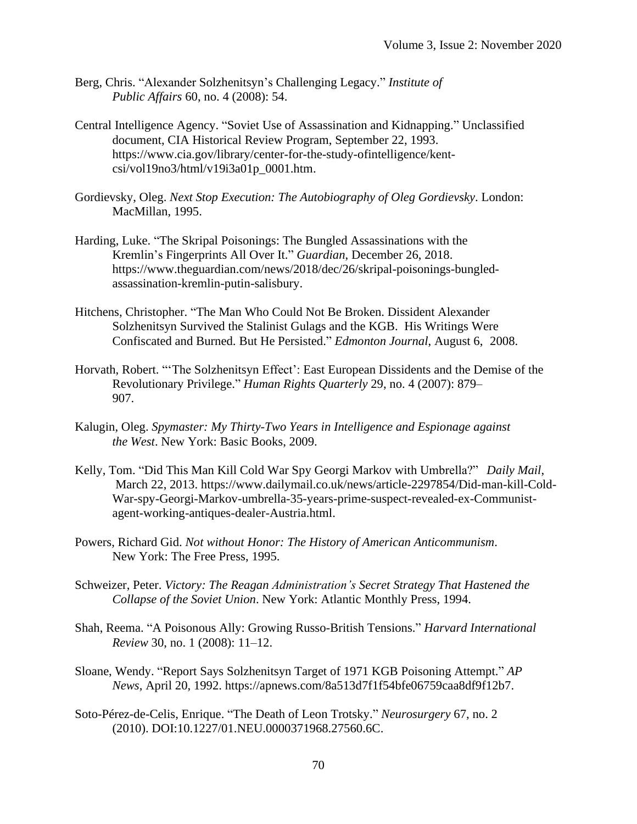- Berg, Chris. "Alexander Solzhenitsyn's Challenging Legacy." *Institute of Public Affairs* 60, no. 4 (2008): 54.
- Central Intelligence Agency. "Soviet Use of Assassination and Kidnapping." Unclassified document, CIA Historical Review Program, September 22, 1993. https://www.cia.gov/library/center-for-the-study-ofintelligence/kentcsi/vol19no3/html/v19i3a01p\_0001.htm.
- Gordievsky, Oleg. *Next Stop Execution: The Autobiography of Oleg Gordievsky*. London: MacMillan, 1995.
- Harding, Luke. "The Skripal Poisonings: The Bungled Assassinations with the Kremlin's Fingerprints All Over It." *Guardian*, December 26, 2018. https://www.theguardian.com/news/2018/dec/26/skripal-poisonings-bungledassassination-kremlin-putin-salisbury.
- Hitchens, Christopher. "The Man Who Could Not Be Broken. Dissident Alexander Solzhenitsyn Survived the Stalinist Gulags and the KGB. His Writings Were Confiscated and Burned. But He Persisted." *Edmonton Journal*, August 6, 2008.
- Horvath, Robert. "'The Solzhenitsyn Effect': East European Dissidents and the Demise of the Revolutionary Privilege." *Human Rights Quarterly* 29, no. 4 (2007): 879– 907.
- Kalugin, Oleg. *Spymaster: My Thirty-Two Years in Intelligence and Espionage against the West*. New York: Basic Books, 2009.
- Kelly, Tom. "Did This Man Kill Cold War Spy Georgi Markov with Umbrella?" *Daily Mail*, March 22, 2013. <https://www.dailymail.co.uk/news/article-2297854/Did-man-kill-Cold->War-spy-Georgi-Markov-umbrella-35-years-prime-suspect-revealed-ex-Communistagent-working-antiques-dealer-Austria.html.
- Powers, Richard Gid. *Not without Honor: The History of American Anticommunism*. New York: The Free Press, 1995.
- Schweizer, Peter. *Victory: The Reagan Administration's Secret Strategy That Hastened the Collapse of the Soviet Union*. New York: Atlantic Monthly Press, 1994.
- Shah, Reema. "A Poisonous Ally: Growing Russo-British Tensions." *Harvard International Review* 30, no. 1 (2008): 11–12.
- Sloane, Wendy. "Report Says Solzhenitsyn Target of 1971 KGB Poisoning Attempt." *AP News*, April 20, 1992. https://apnews.com/8a513d7f1f54bfe06759caa8df9f12b7.
- Soto-Pérez-de-Celis, Enrique. "The Death of Leon Trotsky." *Neurosurgery* 67, no. 2 (2010). DOI:10.1227/01.NEU.0000371968.27560.6C.